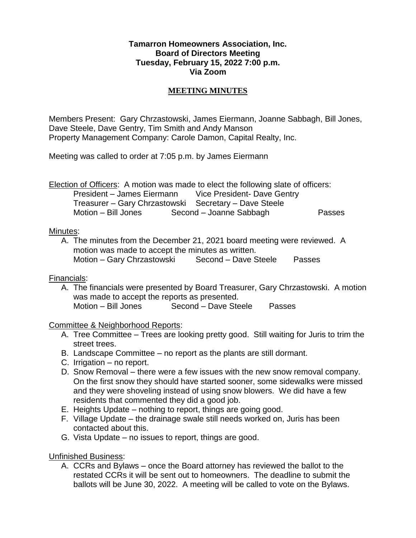## **Tamarron Homeowners Association, Inc. Board of Directors Meeting Tuesday, February 15, 2022 7:00 p.m. Via Zoom**

## **MEETING MINUTES**

Members Present: Gary Chrzastowski, James Eiermann, Joanne Sabbagh, Bill Jones, Dave Steele, Dave Gentry, Tim Smith and Andy Manson Property Management Company: Carole Damon, Capital Realty, Inc.

Meeting was called to order at 7:05 p.m. by James Eiermann

Election of Officers: A motion was made to elect the following slate of officers: President – James Eiermann Vice President- Dave Gentry Treasurer – Gary Chrzastowski Secretary – Dave Steele Motion – Bill Jones Second – Joanne Sabbagh Passes

#### Minutes:

A. The minutes from the December 21, 2021 board meeting were reviewed. A motion was made to accept the minutes as written. Motion – Gary Chrzastowski Second – Dave Steele Passes

# Financials:

A. The financials were presented by Board Treasurer, Gary Chrzastowski. A motion was made to accept the reports as presented. Motion – Bill Jones Second – Dave Steele Passes

# Committee & Neighborhood Reports:

- A. Tree Committee Trees are looking pretty good. Still waiting for Juris to trim the street trees.
- B. Landscape Committee no report as the plants are still dormant.
- C. Irrigation no report.
- D. Snow Removal there were a few issues with the new snow removal company. On the first snow they should have started sooner, some sidewalks were missed and they were shoveling instead of using snow blowers. We did have a few residents that commented they did a good job.
- E. Heights Update nothing to report, things are going good.
- F. Village Update the drainage swale still needs worked on, Juris has been contacted about this.
- G. Vista Update no issues to report, things are good.

Unfinished Business:

A. CCRs and Bylaws – once the Board attorney has reviewed the ballot to the restated CCRs it will be sent out to homeowners. The deadline to submit the ballots will be June 30, 2022. A meeting will be called to vote on the Bylaws.